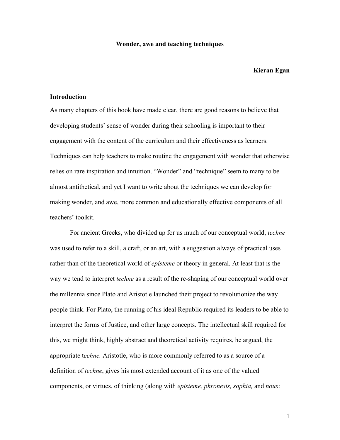### **Wonder, awe and teaching techniques**

#### **Kieran Egan**

### **Introduction**

As many chapters of this book have made clear, there are good reasons to believe that developing students' sense of wonder during their schooling is important to their engagement with the content of the curriculum and their effectiveness as learners. Techniques can help teachers to make routine the engagement with wonder that otherwise relies on rare inspiration and intuition. "Wonder" and "technique" seem to many to be almost antithetical, and yet I want to write about the techniques we can develop for making wonder, and awe, more common and educationally effective components of all teachers' toolkit.

For ancient Greeks, who divided up for us much of our conceptual world, *techne* was used to refer to a skill, a craft, or an art, with a suggestion always of practical uses rather than of the theoretical world of *episteme* or theory in general. At least that is the way we tend to interpret *techne* as a result of the re-shaping of our conceptual world over the millennia since Plato and Aristotle launched their project to revolutionize the way people think. For Plato, the running of his ideal Republic required its leaders to be able to interpret the forms of Justice, and other large concepts. The intellectual skill required for this, we might think, highly abstract and theoretical activity requires, he argued, the appropriate t*echne.* Aristotle, who is more commonly referred to as a source of a definition of *techne*, gives his most extended account of it as one of the valued components, or virtues, of thinking (along with *episteme, phronesis, sophia,* and *nous*: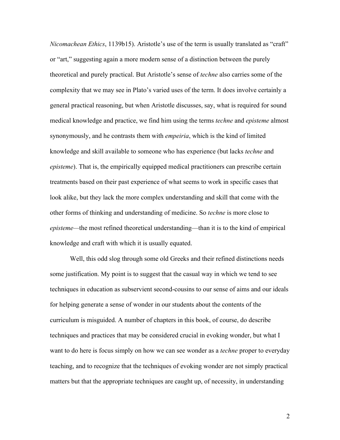*Nicomachean Ethics*, 1139b15). Aristotle's use of the term is usually translated as "craft" or "art," suggesting again a more modern sense of a distinction between the purely theoretical and purely practical. But Aristotle's sense of *techne* also carries some of the complexity that we may see in Plato's varied uses of the term. It does involve certainly a general practical reasoning, but when Aristotle discusses, say, what is required for sound medical knowledge and practice, we find him using the terms *techne* and *episteme* almost synonymously, and he contrasts them with *empeiria*, which is the kind of limited knowledge and skill available to someone who has experience (but lacks *techne* and *episteme*). That is, the empirically equipped medical practitioners can prescribe certain treatments based on their past experience of what seems to work in specific cases that look alike, but they lack the more complex understanding and skill that come with the other forms of thinking and understanding of medicine. So *techne* is more close to *episteme—*the most refined theoretical understanding––than it is to the kind of empirical knowledge and craft with which it is usually equated.

Well, this odd slog through some old Greeks and their refined distinctions needs some justification. My point is to suggest that the casual way in which we tend to see techniques in education as subservient second-cousins to our sense of aims and our ideals for helping generate a sense of wonder in our students about the contents of the curriculum is misguided. A number of chapters in this book, of course, do describe techniques and practices that may be considered crucial in evoking wonder, but what I want to do here is focus simply on how we can see wonder as a *techne* proper to everyday teaching, and to recognize that the techniques of evoking wonder are not simply practical matters but that the appropriate techniques are caught up, of necessity, in understanding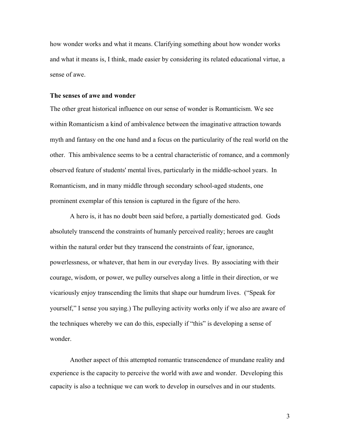how wonder works and what it means. Clarifying something about how wonder works and what it means is, I think, made easier by considering its related educational virtue, a sense of awe.

## **The senses of awe and wonder**

The other great historical influence on our sense of wonder is Romanticism. We see within Romanticism a kind of ambivalence between the imaginative attraction towards myth and fantasy on the one hand and a focus on the particularity of the real world on the other. This ambivalence seems to be a central characteristic of romance, and a commonly observed feature of students' mental lives, particularly in the middle-school years. In Romanticism, and in many middle through secondary school-aged students, one prominent exemplar of this tension is captured in the figure of the hero.

A hero is, it has no doubt been said before, a partially domesticated god. Gods absolutely transcend the constraints of humanly perceived reality; heroes are caught within the natural order but they transcend the constraints of fear, ignorance, powerlessness, or whatever, that hem in our everyday lives. By associating with their courage, wisdom, or power, we pulley ourselves along a little in their direction, or we vicariously enjoy transcending the limits that shape our humdrum lives. ("Speak for yourself," I sense you saying.) The pulleying activity works only if we also are aware of the techniques whereby we can do this, especially if "this" is developing a sense of wonder.

Another aspect of this attempted romantic transcendence of mundane reality and experience is the capacity to perceive the world with awe and wonder. Developing this capacity is also a technique we can work to develop in ourselves and in our students.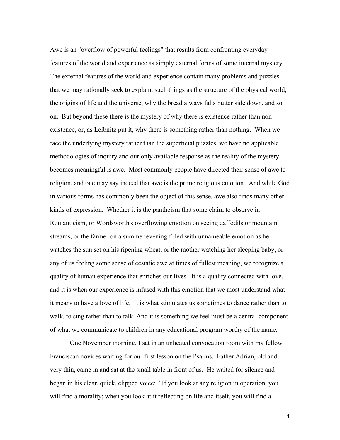Awe is an "overflow of powerful feelings" that results from confronting everyday features of the world and experience as simply external forms of some internal mystery. The external features of the world and experience contain many problems and puzzles that we may rationally seek to explain, such things as the structure of the physical world, the origins of life and the universe, why the bread always falls butter side down, and so on. But beyond these there is the mystery of why there is existence rather than nonexistence, or, as Leibnitz put it, why there is something rather than nothing. When we face the underlying mystery rather than the superficial puzzles, we have no applicable methodologies of inquiry and our only available response as the reality of the mystery becomes meaningful is awe. Most commonly people have directed their sense of awe to religion, and one may say indeed that awe is the prime religious emotion. And while God in various forms has commonly been the object of this sense, awe also finds many other kinds of expression. Whether it is the pantheism that some claim to observe in Romanticism, or Wordsworth's overflowing emotion on seeing daffodils or mountain streams, or the farmer on a summer evening filled with unnameable emotion as he watches the sun set on his ripening wheat, or the mother watching her sleeping baby, or any of us feeling some sense of ecstatic awe at times of fullest meaning, we recognize a quality of human experience that enriches our lives. It is a quality connected with love, and it is when our experience is infused with this emotion that we most understand what it means to have a love of life. It is what stimulates us sometimes to dance rather than to walk, to sing rather than to talk. And it is something we feel must be a central component of what we communicate to children in any educational program worthy of the name.

One November morning, I sat in an unheated convocation room with my fellow Franciscan novices waiting for our first lesson on the Psalms. Father Adrian, old and very thin, came in and sat at the small table in front of us. He waited for silence and began in his clear, quick, clipped voice: "If you look at any religion in operation, you will find a morality; when you look at it reflecting on life and itself, you will find a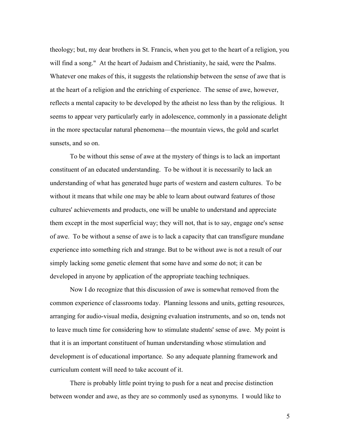theology; but, my dear brothers in St. Francis, when you get to the heart of a religion, you will find a song." At the heart of Judaism and Christianity, he said, were the Psalms. Whatever one makes of this, it suggests the relationship between the sense of awe that is at the heart of a religion and the enriching of experience. The sense of awe, however, reflects a mental capacity to be developed by the atheist no less than by the religious. It seems to appear very particularly early in adolescence, commonly in a passionate delight in the more spectacular natural phenomena—the mountain views, the gold and scarlet sunsets, and so on.

To be without this sense of awe at the mystery of things is to lack an important constituent of an educated understanding. To be without it is necessarily to lack an understanding of what has generated huge parts of western and eastern cultures. To be without it means that while one may be able to learn about outward features of those cultures' achievements and products, one will be unable to understand and appreciate them except in the most superficial way; they will not, that is to say, engage one's sense of awe. To be without a sense of awe is to lack a capacity that can transfigure mundane experience into something rich and strange. But to be without awe is not a result of our simply lacking some genetic element that some have and some do not; it can be developed in anyone by application of the appropriate teaching techniques.

Now I do recognize that this discussion of awe is somewhat removed from the common experience of classrooms today. Planning lessons and units, getting resources, arranging for audio-visual media, designing evaluation instruments, and so on, tends not to leave much time for considering how to stimulate students' sense of awe. My point is that it is an important constituent of human understanding whose stimulation and development is of educational importance. So any adequate planning framework and curriculum content will need to take account of it.

There is probably little point trying to push for a neat and precise distinction between wonder and awe, as they are so commonly used as synonyms. I would like to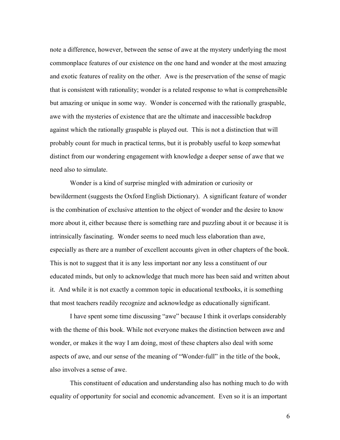note a difference, however, between the sense of awe at the mystery underlying the most commonplace features of our existence on the one hand and wonder at the most amazing and exotic features of reality on the other. Awe is the preservation of the sense of magic that is consistent with rationality; wonder is a related response to what is comprehensible but amazing or unique in some way. Wonder is concerned with the rationally graspable, awe with the mysteries of existence that are the ultimate and inaccessible backdrop against which the rationally graspable is played out. This is not a distinction that will probably count for much in practical terms, but it is probably useful to keep somewhat distinct from our wondering engagement with knowledge a deeper sense of awe that we need also to simulate.

Wonder is a kind of surprise mingled with admiration or curiosity or bewilderment (suggests the Oxford English Dictionary). A significant feature of wonder is the combination of exclusive attention to the object of wonder and the desire to know more about it, either because there is something rare and puzzling about it or because it is intrinsically fascinating. Wonder seems to need much less elaboration than awe, especially as there are a number of excellent accounts given in other chapters of the book. This is not to suggest that it is any less important nor any less a constituent of our educated minds, but only to acknowledge that much more has been said and written about it. And while it is not exactly a common topic in educational textbooks, it is something that most teachers readily recognize and acknowledge as educationally significant.

I have spent some time discussing "awe" because I think it overlaps considerably with the theme of this book. While not everyone makes the distinction between awe and wonder, or makes it the way I am doing, most of these chapters also deal with some aspects of awe, and our sense of the meaning of "Wonder-full" in the title of the book, also involves a sense of awe.

This constituent of education and understanding also has nothing much to do with equality of opportunity for social and economic advancement. Even so it is an important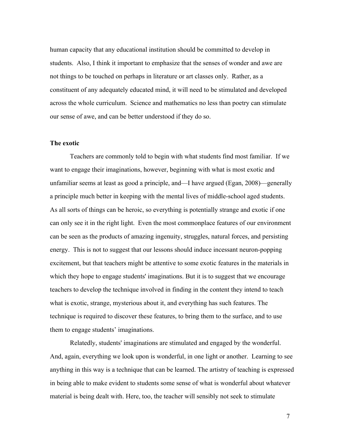human capacity that any educational institution should be committed to develop in students. Also, I think it important to emphasize that the senses of wonder and awe are not things to be touched on perhaps in literature or art classes only. Rather, as a constituent of any adequately educated mind, it will need to be stimulated and developed across the whole curriculum. Science and mathematics no less than poetry can stimulate our sense of awe, and can be better understood if they do so.

### **The exotic**

Teachers are commonly told to begin with what students find most familiar. If we want to engage their imaginations, however, beginning with what is most exotic and unfamiliar seems at least as good a principle, and—I have argued (Egan, 2008)—generally a principle much better in keeping with the mental lives of middle-school aged students. As all sorts of things can be heroic, so everything is potentially strange and exotic if one can only see it in the right light. Even the most commonplace features of our environment can be seen as the products of amazing ingenuity, struggles, natural forces, and persisting energy. This is not to suggest that our lessons should induce incessant neuron-popping excitement, but that teachers might be attentive to some exotic features in the materials in which they hope to engage students' imaginations. But it is to suggest that we encourage teachers to develop the technique involved in finding in the content they intend to teach what is exotic, strange, mysterious about it, and everything has such features. The technique is required to discover these features, to bring them to the surface, and to use them to engage students' imaginations.

Relatedly, students' imaginations are stimulated and engaged by the wonderful. And, again, everything we look upon is wonderful, in one light or another. Learning to see anything in this way is a technique that can be learned. The artistry of teaching is expressed in being able to make evident to students some sense of what is wonderful about whatever material is being dealt with. Here, too, the teacher will sensibly not seek to stimulate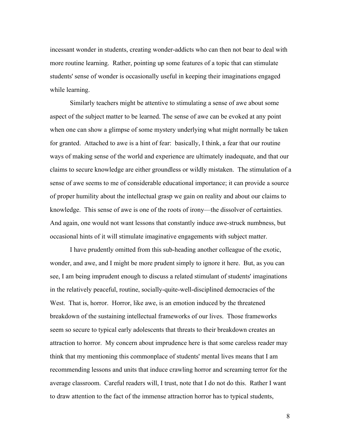incessant wonder in students, creating wonder-addicts who can then not bear to deal with more routine learning. Rather, pointing up some features of a topic that can stimulate students' sense of wonder is occasionally useful in keeping their imaginations engaged while learning.

Similarly teachers might be attentive to stimulating a sense of awe about some aspect of the subject matter to be learned. The sense of awe can be evoked at any point when one can show a glimpse of some mystery underlying what might normally be taken for granted. Attached to awe is a hint of fear: basically, I think, a fear that our routine ways of making sense of the world and experience are ultimately inadequate, and that our claims to secure knowledge are either groundless or wildly mistaken. The stimulation of a sense of awe seems to me of considerable educational importance; it can provide a source of proper humility about the intellectual grasp we gain on reality and about our claims to knowledge. This sense of awe is one of the roots of irony—the dissolver of certainties. And again, one would not want lessons that constantly induce awe-struck numbness, but occasional hints of it will stimulate imaginative engagements with subject matter.

I have prudently omitted from this sub-heading another colleague of the exotic, wonder, and awe, and I might be more prudent simply to ignore it here. But, as you can see, I am being imprudent enough to discuss a related stimulant of students' imaginations in the relatively peaceful, routine, socially-quite-well-disciplined democracies of the West. That is, horror. Horror, like awe, is an emotion induced by the threatened breakdown of the sustaining intellectual frameworks of our lives. Those frameworks seem so secure to typical early adolescents that threats to their breakdown creates an attraction to horror. My concern about imprudence here is that some careless reader may think that my mentioning this commonplace of students' mental lives means that I am recommending lessons and units that induce crawling horror and screaming terror for the average classroom. Careful readers will, I trust, note that I do not do this. Rather I want to draw attention to the fact of the immense attraction horror has to typical students,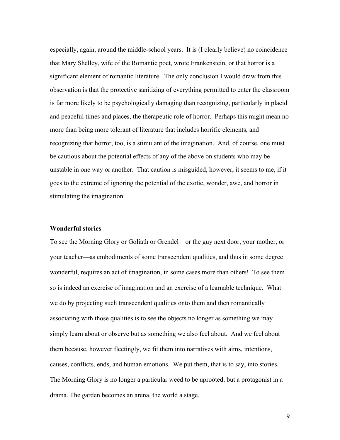especially, again, around the middle-school years. It is (I clearly believe) no coincidence that Mary Shelley, wife of the Romantic poet, wrote Frankenstein, or that horror is a significant element of romantic literature. The only conclusion I would draw from this observation is that the protective sanitizing of everything permitted to enter the classroom is far more likely to be psychologically damaging than recognizing, particularly in placid and peaceful times and places, the therapeutic role of horror. Perhaps this might mean no more than being more tolerant of literature that includes horrific elements, and recognizing that horror, too, is a stimulant of the imagination. And, of course, one must be cautious about the potential effects of any of the above on students who may be unstable in one way or another. That caution is misguided, however, it seems to me, if it goes to the extreme of ignoring the potential of the exotic, wonder, awe, and horror in stimulating the imagination.

# **Wonderful stories**

To see the Morning Glory or Goliath or Grendel—or the guy next door, your mother, or your teacher—as embodiments of some transcendent qualities, and thus in some degree wonderful, requires an act of imagination, in some cases more than others! To see them so is indeed an exercise of imagination and an exercise of a learnable technique. What we do by projecting such transcendent qualities onto them and then romantically associating with those qualities is to see the objects no longer as something we may simply learn about or observe but as something we also feel about. And we feel about them because, however fleetingly, we fit them into narratives with aims, intentions, causes, conflicts, ends, and human emotions. We put them, that is to say, into stories. The Morning Glory is no longer a particular weed to be uprooted, but a protagonist in a drama. The garden becomes an arena, the world a stage.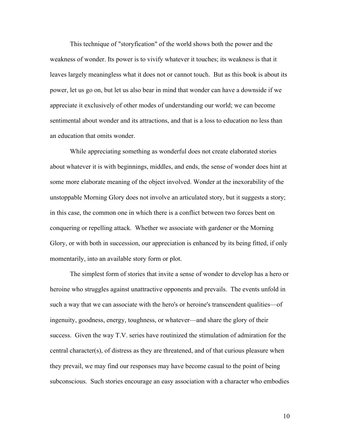This technique of "storyfication" of the world shows both the power and the weakness of wonder. Its power is to vivify whatever it touches; its weakness is that it leaves largely meaningless what it does not or cannot touch. But as this book is about its power, let us go on, but let us also bear in mind that wonder can have a downside if we appreciate it exclusively of other modes of understanding our world; we can become sentimental about wonder and its attractions, and that is a loss to education no less than an education that omits wonder.

While appreciating something as wonderful does not create elaborated stories about whatever it is with beginnings, middles, and ends, the sense of wonder does hint at some more elaborate meaning of the object involved. Wonder at the inexorability of the unstoppable Morning Glory does not involve an articulated story, but it suggests a story; in this case, the common one in which there is a conflict between two forces bent on conquering or repelling attack. Whether we associate with gardener or the Morning Glory, or with both in succession, our appreciation is enhanced by its being fitted, if only momentarily, into an available story form or plot.

The simplest form of stories that invite a sense of wonder to develop has a hero or heroine who struggles against unattractive opponents and prevails. The events unfold in such a way that we can associate with the hero's or heroine's transcendent qualities—of ingenuity, goodness, energy, toughness, or whatever—and share the glory of their success. Given the way T.V. series have routinized the stimulation of admiration for the central character(s), of distress as they are threatened, and of that curious pleasure when they prevail, we may find our responses may have become casual to the point of being subconscious. Such stories encourage an easy association with a character who embodies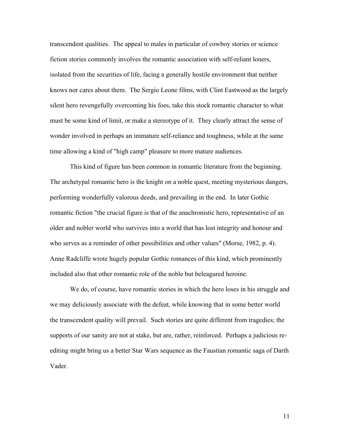transcendent qualities. The appeal to males in particular of cowboy stories or science fiction stories commonly involves the romantic association with self-reliant loners, isolated from the securities of life, facing a generally hostile environment that neither knows nor cares about them. The Sergio Leone films, with Clint Eastwood as the largely silent hero revengefully overcoming his foes, take this stock romantic character to what must be some kind of limit, or make a stereotype of it. They clearly attract the sense of wonder involved in perhaps an immature self-reliance and toughness, while at the same time allowing a kind of "high camp" pleasure to more mature audiences.

This kind of figure has been common in romantic literature from the beginning. The archetypal romantic hero is the knight on a noble quest, meeting mysterious dangers, performing wonderfully valorous deeds, and prevailing in the end. In later Gothic romantic fiction "the crucial figure is that of the anachronistic hero, representative of an older and nobler world who survives into a world that has lost integrity and honour and who serves as a reminder of other possibilities and other values" (Morse, 1982, p. 4). Anne Radcliffe wrote hugely popular Gothic romances of this kind, which prominently included also that other romantic role of the noble but beleagured heroine.

We do, of course, have romantic stories in which the hero loses in his struggle and we may deliciously associate with the defeat, while knowing that in some better world the transcendent quality will prevail. Such stories are quite different from tragedies; the supports of our sanity are not at stake, but are, rather, reinforced. Perhaps a judicious reediting might bring us a better Star Wars sequence as the Faustian romantic saga of Darth Vader.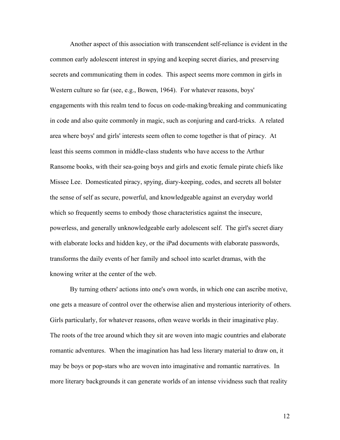Another aspect of this association with transcendent self-reliance is evident in the common early adolescent interest in spying and keeping secret diaries, and preserving secrets and communicating them in codes. This aspect seems more common in girls in Western culture so far (see, e.g., Bowen, 1964). For whatever reasons, boys' engagements with this realm tend to focus on code-making/breaking and communicating in code and also quite commonly in magic, such as conjuring and card-tricks. A related area where boys' and girls' interests seem often to come together is that of piracy. At least this seems common in middle-class students who have access to the Arthur Ransome books, with their sea-going boys and girls and exotic female pirate chiefs like Missee Lee. Domesticated piracy, spying, diary-keeping, codes, and secrets all bolster the sense of self as secure, powerful, and knowledgeable against an everyday world which so frequently seems to embody those characteristics against the insecure, powerless, and generally unknowledgeable early adolescent self. The girl's secret diary with elaborate locks and hidden key, or the iPad documents with elaborate passwords, transforms the daily events of her family and school into scarlet dramas, with the knowing writer at the center of the web.

By turning others' actions into one's own words, in which one can ascribe motive, one gets a measure of control over the otherwise alien and mysterious interiority of others. Girls particularly, for whatever reasons, often weave worlds in their imaginative play. The roots of the tree around which they sit are woven into magic countries and elaborate romantic adventures. When the imagination has had less literary material to draw on, it may be boys or pop-stars who are woven into imaginative and romantic narratives. In more literary backgrounds it can generate worlds of an intense vividness such that reality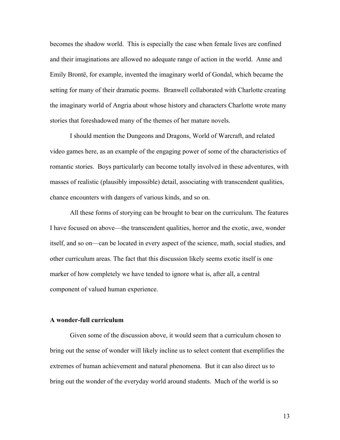becomes the shadow world. This is especially the case when female lives are confined and their imaginations are allowed no adequate range of action in the world. Anne and Emily Brontë, for example, invented the imaginary world of Gondal, which became the setting for many of their dramatic poems. Branwell collaborated with Charlotte creating the imaginary world of Angria about whose history and characters Charlotte wrote many stories that foreshadowed many of the themes of her mature novels.

I should mention the Dungeons and Dragons, World of Warcraft, and related video games here, as an example of the engaging power of some of the characteristics of romantic stories. Boys particularly can become totally involved in these adventures, with masses of realistic (plausibly impossible) detail, associating with transcendent qualities, chance encounters with dangers of various kinds, and so on.

All these forms of storying can be brought to bear on the curriculum. The features I have focused on above––the transcendent qualities, horror and the exotic, awe, wonder itself, and so on––can be located in every aspect of the science, math, social studies, and other curriculum areas. The fact that this discussion likely seems exotic itself is one marker of how completely we have tended to ignore what is, after all, a central component of valued human experience.

# **A wonder-full curriculum**

Given some of the discussion above, it would seem that a curriculum chosen to bring out the sense of wonder will likely incline us to select content that exemplifies the extremes of human achievement and natural phenomena. But it can also direct us to bring out the wonder of the everyday world around students. Much of the world is so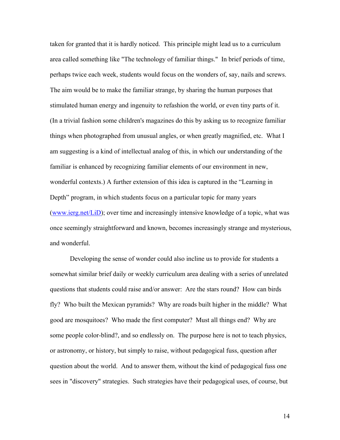taken for granted that it is hardly noticed. This principle might lead us to a curriculum area called something like "The technology of familiar things." In brief periods of time, perhaps twice each week, students would focus on the wonders of, say, nails and screws. The aim would be to make the familiar strange, by sharing the human purposes that stimulated human energy and ingenuity to refashion the world, or even tiny parts of it. (In a trivial fashion some children's magazines do this by asking us to recognize familiar things when photographed from unusual angles, or when greatly magnified, etc. What I am suggesting is a kind of intellectual analog of this, in which our understanding of the familiar is enhanced by recognizing familiar elements of our environment in new, wonderful contexts.) A further extension of this idea is captured in the "Learning in Depth" program, in which students focus on a particular topic for many years (www.ierg.net/LiD); over time and increasingly intensive knowledge of a topic, what was once seemingly straightforward and known, becomes increasingly strange and mysterious, and wonderful.

Developing the sense of wonder could also incline us to provide for students a somewhat similar brief daily or weekly curriculum area dealing with a series of unrelated questions that students could raise and/or answer: Are the stars round? How can birds fly? Who built the Mexican pyramids? Why are roads built higher in the middle? What good are mosquitoes? Who made the first computer? Must all things end? Why are some people color-blind?, and so endlessly on. The purpose here is not to teach physics, or astronomy, or history, but simply to raise, without pedagogical fuss, question after question about the world. And to answer them, without the kind of pedagogical fuss one sees in "discovery" strategies. Such strategies have their pedagogical uses, of course, but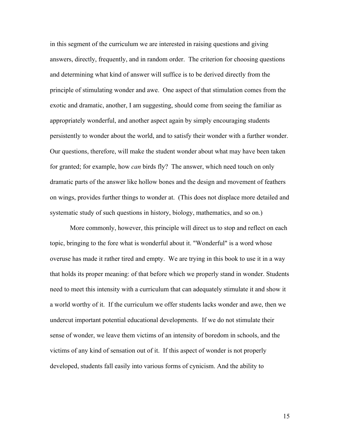in this segment of the curriculum we are interested in raising questions and giving answers, directly, frequently, and in random order. The criterion for choosing questions and determining what kind of answer will suffice is to be derived directly from the principle of stimulating wonder and awe. One aspect of that stimulation comes from the exotic and dramatic, another, I am suggesting, should come from seeing the familiar as appropriately wonderful, and another aspect again by simply encouraging students persistently to wonder about the world, and to satisfy their wonder with a further wonder. Our questions, therefore, will make the student wonder about what may have been taken for granted; for example, how *can* birds fly? The answer, which need touch on only dramatic parts of the answer like hollow bones and the design and movement of feathers on wings, provides further things to wonder at. (This does not displace more detailed and systematic study of such questions in history, biology, mathematics, and so on.)

More commonly, however, this principle will direct us to stop and reflect on each topic, bringing to the fore what is wonderful about it. "Wonderful" is a word whose overuse has made it rather tired and empty. We are trying in this book to use it in a way that holds its proper meaning: of that before which we properly stand in wonder. Students need to meet this intensity with a curriculum that can adequately stimulate it and show it a world worthy of it. If the curriculum we offer students lacks wonder and awe, then we undercut important potential educational developments. If we do not stimulate their sense of wonder, we leave them victims of an intensity of boredom in schools, and the victims of any kind of sensation out of it. If this aspect of wonder is not properly developed, students fall easily into various forms of cynicism. And the ability to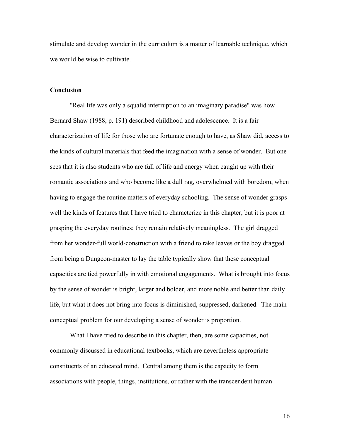stimulate and develop wonder in the curriculum is a matter of learnable technique, which we would be wise to cultivate.

# **Conclusion**

"Real life was only a squalid interruption to an imaginary paradise" was how Bernard Shaw (1988, p. 191) described childhood and adolescence. It is a fair characterization of life for those who are fortunate enough to have, as Shaw did, access to the kinds of cultural materials that feed the imagination with a sense of wonder. But one sees that it is also students who are full of life and energy when caught up with their romantic associations and who become like a dull rag, overwhelmed with boredom, when having to engage the routine matters of everyday schooling. The sense of wonder grasps well the kinds of features that I have tried to characterize in this chapter, but it is poor at grasping the everyday routines; they remain relatively meaningless. The girl dragged from her wonder-full world-construction with a friend to rake leaves or the boy dragged from being a Dungeon-master to lay the table typically show that these conceptual capacities are tied powerfully in with emotional engagements. What is brought into focus by the sense of wonder is bright, larger and bolder, and more noble and better than daily life, but what it does not bring into focus is diminished, suppressed, darkened. The main conceptual problem for our developing a sense of wonder is proportion.

What I have tried to describe in this chapter, then, are some capacities, not commonly discussed in educational textbooks, which are nevertheless appropriate constituents of an educated mind. Central among them is the capacity to form associations with people, things, institutions, or rather with the transcendent human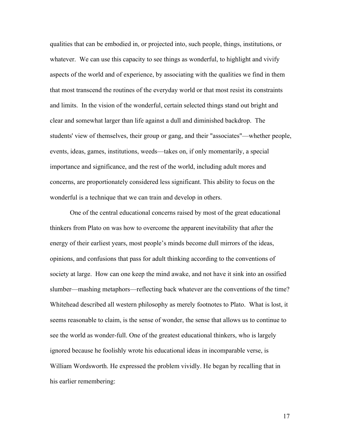qualities that can be embodied in, or projected into, such people, things, institutions, or whatever. We can use this capacity to see things as wonderful, to highlight and vivify aspects of the world and of experience, by associating with the qualities we find in them that most transcend the routines of the everyday world or that most resist its constraints and limits. In the vision of the wonderful, certain selected things stand out bright and clear and somewhat larger than life against a dull and diminished backdrop. The students' view of themselves, their group or gang, and their "associates"—whether people, events, ideas, games, institutions, weeds—takes on, if only momentarily, a special importance and significance, and the rest of the world, including adult mores and concerns, are proportionately considered less significant. This ability to focus on the wonderful is a technique that we can train and develop in others.

One of the central educational concerns raised by most of the great educational thinkers from Plato on was how to overcome the apparent inevitability that after the energy of their earliest years, most people's minds become dull mirrors of the ideas, opinions, and confusions that pass for adult thinking according to the conventions of society at large. How can one keep the mind awake, and not have it sink into an ossified slumber—mashing metaphors—reflecting back whatever are the conventions of the time? Whitehead described all western philosophy as merely footnotes to Plato. What is lost, it seems reasonable to claim, is the sense of wonder, the sense that allows us to continue to see the world as wonder-full. One of the greatest educational thinkers, who is largely ignored because he foolishly wrote his educational ideas in incomparable verse, is William Wordsworth. He expressed the problem vividly. He began by recalling that in his earlier remembering: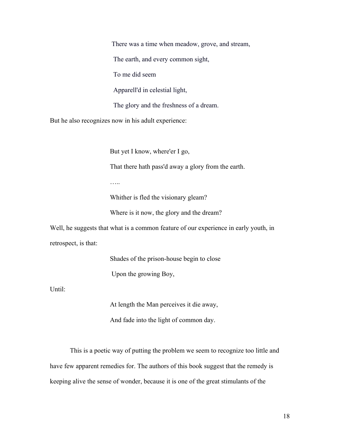There was a time when meadow, grove, and stream,

The earth, and every common sight,

To me did seem

Apparell'd in celestial light,

The glory and the freshness of a dream.

But he also recognizes now in his adult experience:

But yet I know, where'er I go,

That there hath pass'd away a glory from the earth.

….

Whither is fled the visionary gleam?

Where is it now, the glory and the dream?

Well, he suggests that what is a common feature of our experience in early youth, in retrospect, is that:

> Shades of the prison-house begin to close Upon the growing Boy,

Until:

At length the Man perceives it die away,

And fade into the light of common day.

This is a poetic way of putting the problem we seem to recognize too little and have few apparent remedies for. The authors of this book suggest that the remedy is keeping alive the sense of wonder, because it is one of the great stimulants of the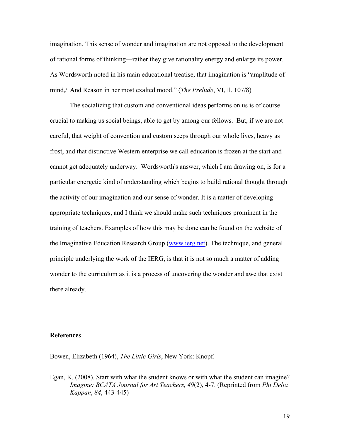imagination. This sense of wonder and imagination are not opposed to the development of rational forms of thinking—rather they give rationality energy and enlarge its power. As Wordsworth noted in his main educational treatise, that imagination is "amplitude of mind,/ And Reason in her most exalted mood." (*The Prelude*, VI, ll. 107/8)

The socializing that custom and conventional ideas performs on us is of course crucial to making us social beings, able to get by among our fellows. But, if we are not careful, that weight of convention and custom seeps through our whole lives, heavy as frost, and that distinctive Western enterprise we call education is frozen at the start and cannot get adequately underway. Wordsworth's answer, which I am drawing on, is for a particular energetic kind of understanding which begins to build rational thought through the activity of our imagination and our sense of wonder. It is a matter of developing appropriate techniques, and I think we should make such techniques prominent in the training of teachers. Examples of how this may be done can be found on the website of the Imaginative Education Research Group (www.ierg.net). The technique, and general principle underlying the work of the IERG, is that it is not so much a matter of adding wonder to the curriculum as it is a process of uncovering the wonder and awe that exist there already.

### **References**

Bowen, Elizabeth (1964), *The Little Girls*, New York: Knopf.

Egan, K. (2008). Start with what the student knows or with what the student can imagine? *Imagine: BCATA Journal for Art Teachers, 49*(2), 4-7. (Reprinted from *Phi Delta Kappan*, *84*, 443-445)